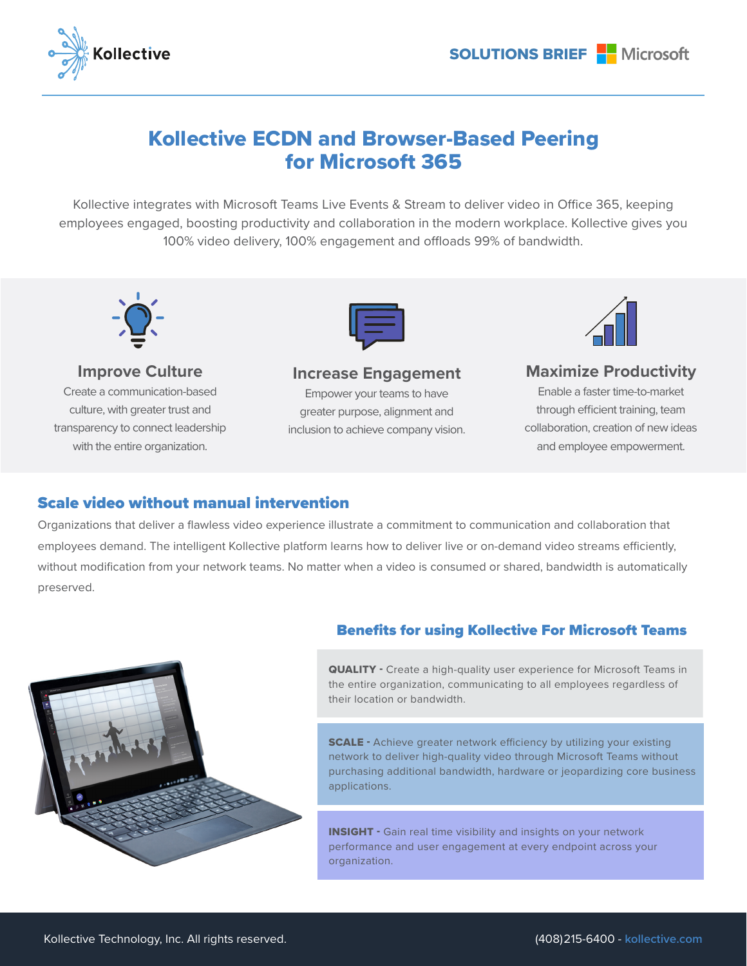

# Kollective ECDN and Browser-Based Peering for Microsoft 365

Kollective integrates with Microsoft Teams Live Events & Stream to deliver video in Office 365, keeping employees engaged, boosting productivity and collaboration in the modern workplace. Kollective gives you 100% video delivery, 100% engagement and offloads 99% of bandwidth.



**Improve Culture** Create a communication-based culture, with greater trust and transparency to connect leadership with the entire organization.



#### **Increase Engagement**

Empower your teams to have greater purpose, alignment and inclusion to achieve company vision.



### **Maximize Productivity**

Enable a faster time-to-market through efficient training, team collaboration, creation of new ideas and employee empowerment.

#### Scale video without manual intervention

Organizations that deliver a flawless video experience illustrate a commitment to communication and collaboration that employees demand. The intelligent Kollective platform learns how to deliver live or on-demand video streams efficiently, without modification from your network teams. No matter when a video is consumed or shared, bandwidth is automatically preserved.



#### Benefits for using Kollective For Microsoft Teams

QUALITY - Create a high-quality user experience for Microsoft Teams in the entire organization, communicating to all employees regardless of their location or bandwidth.

**SCALE** - Achieve greater network efficiency by utilizing your existing network to deliver high-quality video through Microsoft Teams without purchasing additional bandwidth, hardware or jeopardizing core business applications.

**INSIGHT** - Gain real time visibility and insights on your network performance and user engagement at every endpoint across your organization.